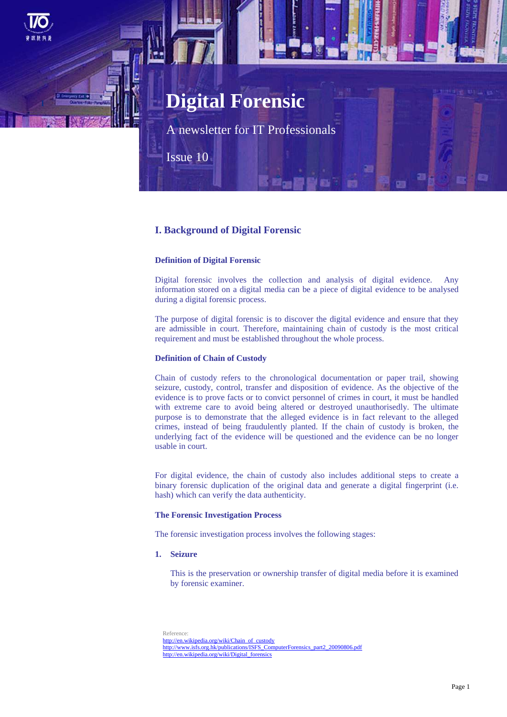# **Digital Forensic**

A newsletter for IT Professionals

Issue 10

### **I. Background of Digital Forensic**

### **Definition of Digital Forensic**

Digital forensic involves the collection and analysis of digital evidence. Any information stored on a digital media can be a piece of digital evidence to be analysed during a digital forensic process.

The purpose of digital forensic is to discover the digital evidence and ensure that they are admissible in court. Therefore, maintaining chain of custody is the most critical requirement and must be established throughout the whole process.

### **Definition of Chain of Custody**

Chain of custody refers to the chronological documentation or paper trail, showing seizure, custody, control, transfer and disposition of evidence. As the objective of the evidence is to prove facts or to convict personnel of crimes in court, it must be handled with extreme care to avoid being altered or destroyed unauthorisedly. The ultimate purpose is to demonstrate that the alleged evidence is in fact relevant to the alleged crimes, instead of being fraudulently planted. If the chain of custody is broken, the underlying fact of the evidence will be questioned and the evidence can be no longer usable in court.

For digital evidence, the chain of custody also includes additional steps to create a binary forensic duplication of the original data and generate a digital fingerprint (i.e. hash) which can verify the data authenticity.

### **The Forensic Investigation Process**

The forensic investigation process involves the following stages:

### **1. Seizure**

This is the preservation or ownership transfer of digital media before it is examined by forensic examiner.

Reference:

[http://en.wikipedia.org/wiki/Chain\\_of\\_custody](http://en.wikipedia.org/wiki/Chain_of_custody) [http://www.isfs.org.hk/publications/ISFS\\_ComputerForensics\\_part2\\_20090806.pdf](http://www.isfs.org.hk/publications/ISFS_ComputerForensics_part2_20090806.pdf) [http://en.wikipedia.org/wiki/Digital\\_forensics](http://en.wikipedia.org/wiki/Digital_forensics)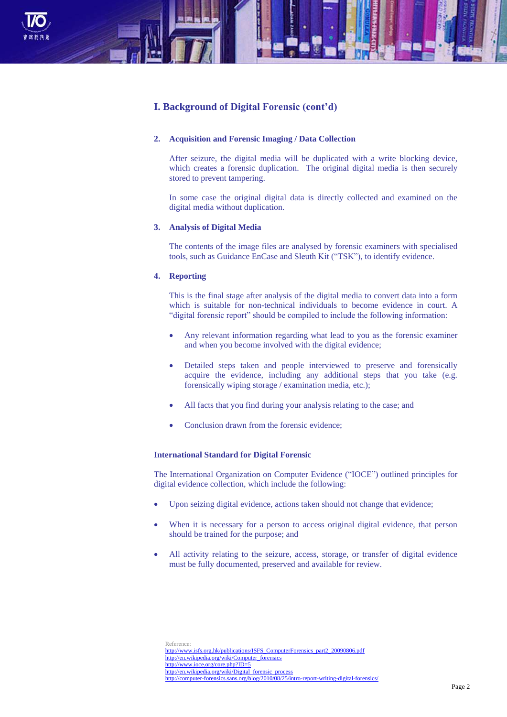

### **I. Background of Digital Forensic (cont'd)**

### **2. Acquisition and Forensic Imaging / Data Collection**

After seizure, the digital media will be duplicated with a write blocking device, which creates a forensic duplication. The original digital media is then securely stored to prevent tampering.

In some case the original digital data is directly collected and examined on the digital media without duplication.

#### **3. Analysis of Digital Media**

The contents of the image files are analysed by forensic examiners with specialised tools, such as Guidance EnCase and Sleuth Kit ("TSK"), to identify evidence.

### **4. Reporting**

This is the final stage after analysis of the digital media to convert data into a form which is suitable for non-technical individuals to become evidence in court. A "digital forensic report" should be compiled to include the following information:

- Any relevant information regarding what lead to you as the forensic examiner and when you become involved with the digital evidence;
- Detailed steps taken and people interviewed to preserve and forensically acquire the evidence, including any additional steps that you take (e.g. forensically wiping storage / examination media, etc.);
- All facts that you find during your analysis relating to the case; and
- Conclusion drawn from the forensic evidence;

### **International Standard for Digital Forensic**

The International Organization on Computer Evidence ("IOCE") outlined principles for digital evidence collection, which include the following:

- Upon seizing digital evidence, actions taken should not change that evidence;
- When it is necessary for a person to access original digital evidence, that person should be trained for the purpose; and
- All activity relating to the seizure, access, storage, or transfer of digital evidence must be fully documented, preserved and available for review.

Reference: [http://www.isfs.org.hk/publications/ISFS\\_ComputerForensics\\_part2\\_20090806.pdf](http://www.isfs.org.hk/publications/ISFS_ComputerForensics_part2_20090806.pdf) [http://en.wikipedia.org/wiki/Computer\\_forensics](http://en.wikipedia.org/wiki/Computer_forensics) <http://www.ioce.org/core.php?ID=5> [http://en.wikipedia.org/wiki/Digital\\_forensic\\_process](http://en.wikipedia.org/wiki/Digital_forensic_process) http://computer-forensics.sans.org/blog/2010/08/25/intro-report-writing-digital-forensics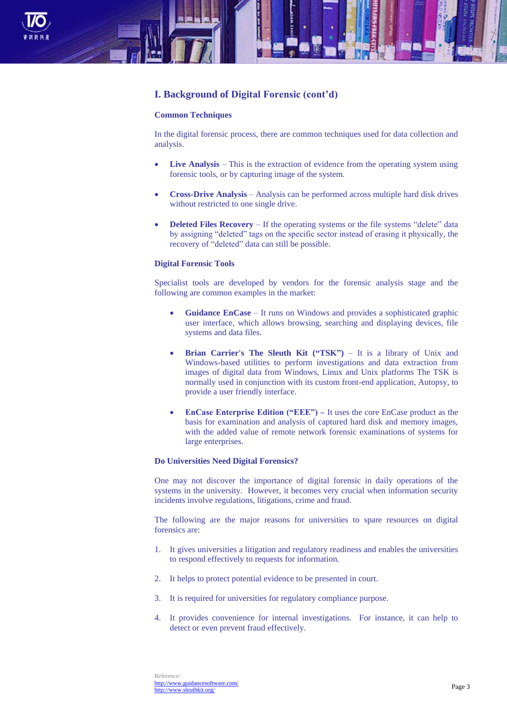

## **I. Background of Digital Forensic (cont'd)**

### **Common Techniques**

In the digital forensic process, there are common techniques used for data collection and analysis.

- **Live Analysis** This is the extraction of evidence from the operating system using forensic tools, or by capturing image of the system.
- **Cross-Drive Analysis** Analysis can be performed across multiple hard disk drives without restricted to one single drive.
- **Deleted Files Recovery** If the operating systems or the file systems "delete" data by assigning "deleted" tags on the specific sector instead of erasing it physically, the recovery of "deleted" data can still be possible.

#### **Digital Forensic Tools**

Specialist tools are developed by vendors for the forensic analysis stage and the following are common examples in the market:

- **Guidance EnCase**  It runs on Windows and provides a sophisticated graphic user interface, which allows browsing, searching and displaying devices, file systems and data files.
- **Brian Carrier's The Sleuth Kit ("TSK")** It is a library of Unix and Windows-based utilities to perform investigations and data extraction from images of digital data from Windows, Linux and Unix platforms The TSK is normally used in conjunction with its custom front-end application, Autopsy, to provide a user friendly interface.
- **EnCase Enterprise Edition ("EEE") –** It uses the core EnCase product as the basis for examination and analysis of captured hard disk and memory images, with the added value of remote network forensic examinations of systems for large enterprises.

### **Do Universities Need Digital Forensics?**

One may not discover the importance of digital forensic in daily operations of the systems in the university. However, it becomes very crucial when information security incidents involve regulations, litigations, crime and fraud.

The following are the major reasons for universities to spare resources on digital forensics are:

- 1. It gives universities a litigation and regulatory readiness and enables the universities to respond effectively to requests for information.
- 2. It helps to protect potential evidence to be presented in court.
- 3. It is required for universities for regulatory compliance purpose.
- 4. It provides convenience for internal investigations. For instance, it can help to detect or even prevent fraud effectively.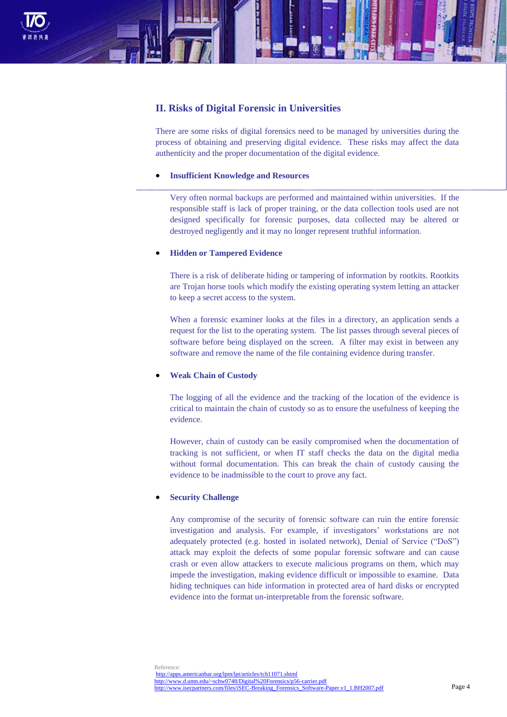

### **II. Risks of Digital Forensic in Universities**

There are some risks of digital forensics need to be managed by universities during the process of obtaining and preserving digital evidence. These risks may affect the data authenticity and the proper documentation of the digital evidence.

### **Insufficient Knowledge and Resources**

Very often normal backups are performed and maintained within universities. If the responsible staff is lack of proper training, or the data collection tools used are not designed specifically for forensic purposes, data collected may be altered or destroyed negligently and it may no longer represent truthful information.

### **Hidden or Tampered Evidence**

There is a risk of deliberate hiding or tampering of information by rootkits. Rootkits are Trojan horse tools which modify the existing operating system letting an attacker to keep a secret access to the system.

When a forensic examiner looks at the files in a directory, an application sends a request for the list to the operating system. The list passes through several pieces of software before being displayed on the screen. A filter may exist in between any software and remove the name of the file containing evidence during transfer.

### **Weak Chain of Custody**

The logging of all the evidence and the tracking of the location of the evidence is critical to maintain the chain of custody so as to ensure the usefulness of keeping the evidence.

However, chain of custody can be easily compromised when the documentation of tracking is not sufficient, or when IT staff checks the data on the digital media without formal documentation. This can break the chain of custody causing the evidence to be inadmissible to the court to prove any fact.

### **Security Challenge**

Any compromise of the security of forensic software can ruin the entire forensic investigation and analysis. For example, if investigators' workstations are not adequately protected (e.g. hosted in isolated network), Denial of Service ("DoS") attack may exploit the defects of some popular forensic software and can cause crash or even allow attackers to execute malicious programs on them, which may impede the investigation, making evidence difficult or impossible to examine. Data hiding techniques can hide information in protected area of hard disks or encrypted evidence into the format un-interpretable from the forensic software.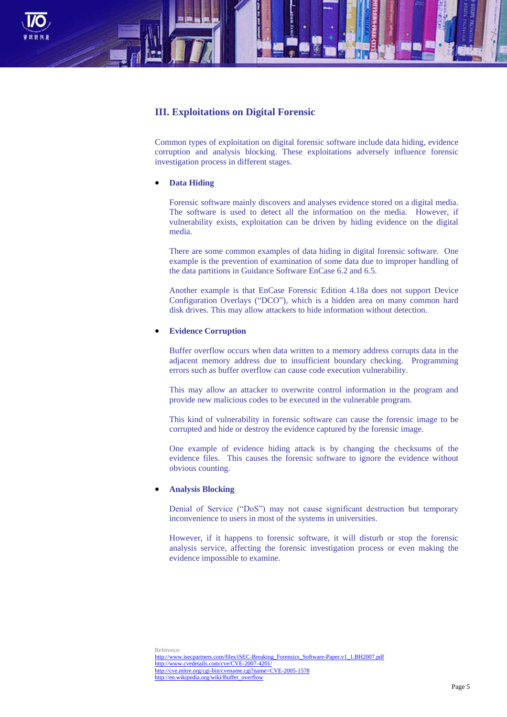

### **III. Exploitations on Digital Forensic**

Common types of exploitation on digital forensic software include data hiding, evidence corruption and analysis blocking. These exploitations adversely influence forensic investigation process in different stages.

### **Data Hiding**

Forensic software mainly discovers and analyses evidence stored on a digital media. The software is used to detect all the information on the media. However, if vulnerability exists, exploitation can be driven by hiding evidence on the digital media.

There are some common examples of data hiding in digital forensic software. One example is the prevention of examination of some data due to improper handling of the data partitions in Guidance Software EnCase 6.2 and 6.5.

Another example is that EnCase Forensic Edition 4.18a does not support Device Configuration Overlays ("DCO"), which is a hidden area on many common hard disk drives. This may allow attackers to hide information without detection.

### **Evidence Corruption**

Buffer overflow occurs when data written to a memory address corrupts data in the adjacent memory address due to insufficient boundary checking. Programming errors such as buffer overflow can cause code execution vulnerability.

This may allow an attacker to overwrite control information in the program and provide new malicious codes to be executed in the vulnerable program.

This kind of vulnerability in forensic software can cause the forensic image to be corrupted and hide or destroy the evidence captured by the forensic image.

One example of evidence hiding attack is by changing the checksums of the evidence files. This causes the forensic software to ignore the evidence without obvious counting.

### **Analysis Blocking**

Denial of Service ("DoS") may not cause significant destruction but temporary inconvenience to users in most of the systems in universities.

However, if it happens to forensic software, it will disturb or stop the forensic analysis service, affecting the forensic investigation process or even making the evidence impossible to examine.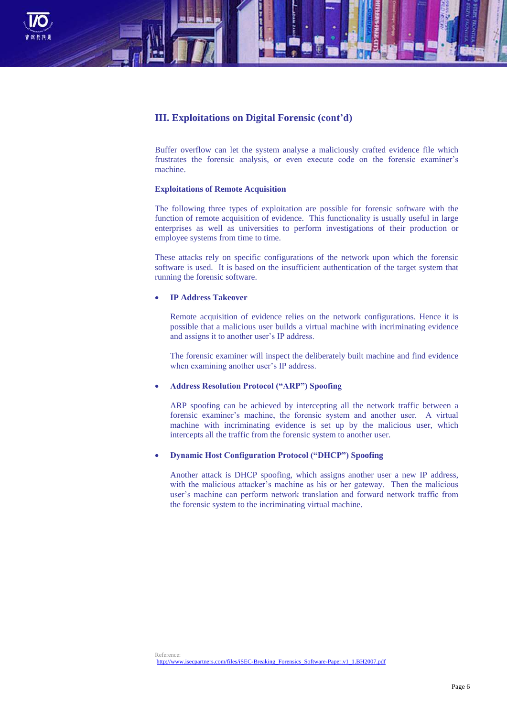

### **III. Exploitations on Digital Forensic (cont'd)**

Buffer overflow can let the system analyse a maliciously crafted evidence file which frustrates the forensic analysis, or even execute code on the forensic examiner's machine.

### **Exploitations of Remote Acquisition**

The following three types of exploitation are possible for forensic software with the function of remote acquisition of evidence. This functionality is usually useful in large enterprises as well as universities to perform investigations of their production or employee systems from time to time.

These attacks rely on specific configurations of the network upon which the forensic software is used. It is based on the insufficient authentication of the target system that running the forensic software.

### **IP Address Takeover**

Remote acquisition of evidence relies on the network configurations. Hence it is possible that a malicious user builds a virtual machine with incriminating evidence and assigns it to another user's IP address.

The forensic examiner will inspect the deliberately built machine and find evidence when examining another user's IP address.

### **Address Resolution Protocol ("ARP") Spoofing**

ARP spoofing can be achieved by intercepting all the network traffic between a forensic examiner's machine, the forensic system and another user. A virtual machine with incriminating evidence is set up by the malicious user, which intercepts all the traffic from the forensic system to another user.

### **Dynamic Host Configuration Protocol ("DHCP") Spoofing**

Another attack is DHCP spoofing, which assigns another user a new IP address, with the malicious attacker's machine as his or her gateway. Then the malicious user's machine can perform network translation and forward network traffic from the forensic system to the incriminating virtual machine.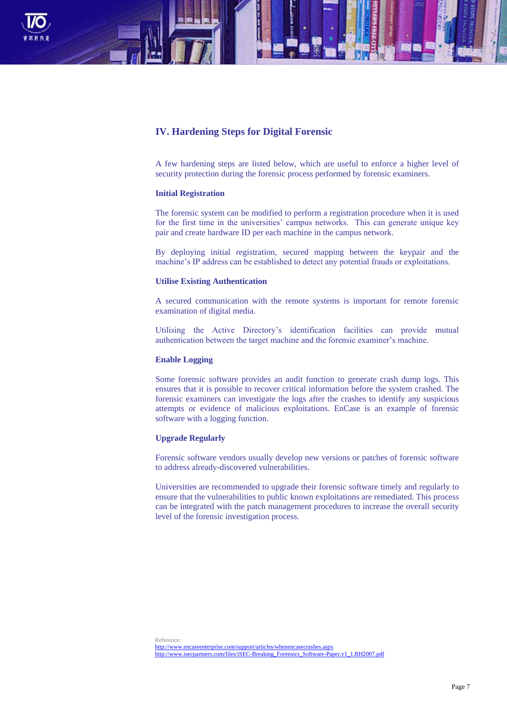

### **IV. Hardening Steps for Digital Forensic**

A few hardening steps are listed below, which are useful to enforce a higher level of security protection during the forensic process performed by forensic examiners.

#### **Initial Registration**

The forensic system can be modified to perform a registration procedure when it is used for the first time in the universities' campus networks. This can generate unique key pair and create hardware ID per each machine in the campus network.

By deploying initial registration, secured mapping between the keypair and the machine's IP address can be established to detect any potential frauds or exploitations.

#### **Utilise Existing Authentication**

A secured communication with the remote systems is important for remote forensic examination of digital media.

Utilising the Active Directory's identification facilities can provide mutual authentication between the target machine and the forensic examiner's machine.

### **Enable Logging**

Some forensic software provides an audit function to generate crash dump logs. This ensures that it is possible to recover critical information before the system crashed. The forensic examiners can investigate the logs after the crashes to identify any suspicious attempts or evidence of malicious exploitations. EnCase is an example of forensic software with a logging function.

### **Upgrade Regularly**

Forensic software vendors usually develop new versions or patches of forensic software to address already-discovered vulnerabilities.

Universities are recommended to upgrade their forensic software timely and regularly to ensure that the vulnerabilities to public known exploitations are remediated. This process can be integrated with the patch management procedures to increase the overall security level of the forensic investigation process.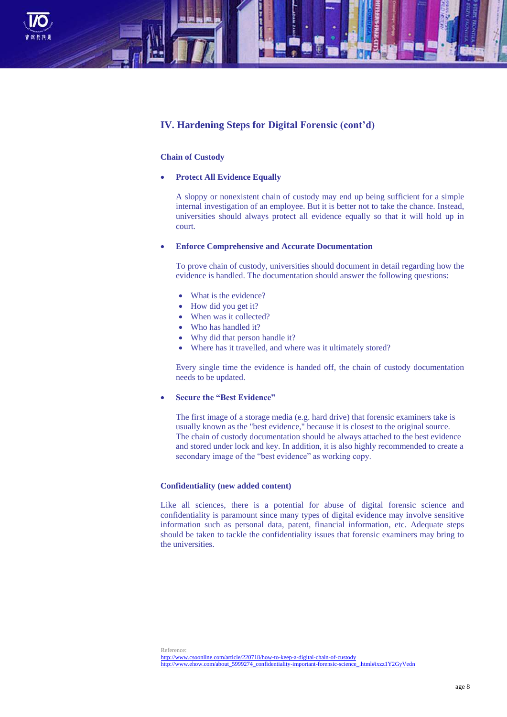

### **IV. Hardening Steps for Digital Forensic (cont'd)**

### **Chain of Custody**

**Protect All Evidence Equally**

A sloppy or nonexistent chain of custody may end up being sufficient for a simple internal investigation of an employee. But it is better not to take the chance. Instead, universities should always protect all evidence equally so that it will hold up in court.

### **Enforce Comprehensive and Accurate Documentation**

To prove chain of custody, universities should document in detail regarding how the evidence is handled. The documentation should answer the following questions:

- What is the evidence?
- How did you get it?
- When was it collected?
- Who has handled it?
- Why did that person handle it?
- Where has it travelled, and where was it ultimately stored?

Every single time the evidence is handed off, the chain of custody documentation needs to be updated.

### **Secure the "Best Evidence"**

The first image of a storage media (e.g. hard drive) that forensic examiners take is usually known as the "best evidence," because it is closest to the original source. The chain of custody documentation should be always attached to the best evidence and stored under lock and key. In addition, it is also highly recommended to create a secondary image of the "best evidence" as working copy.

#### **Confidentiality (new added content)**

Like all sciences, there is a potential for abuse of digital forensic science and confidentiality is paramount since many types of digital evidence may involve sensitive information such as personal data, patent, financial information, etc. Adequate steps should be taken to tackle the confidentiality issues that forensic examiners may bring to the universities.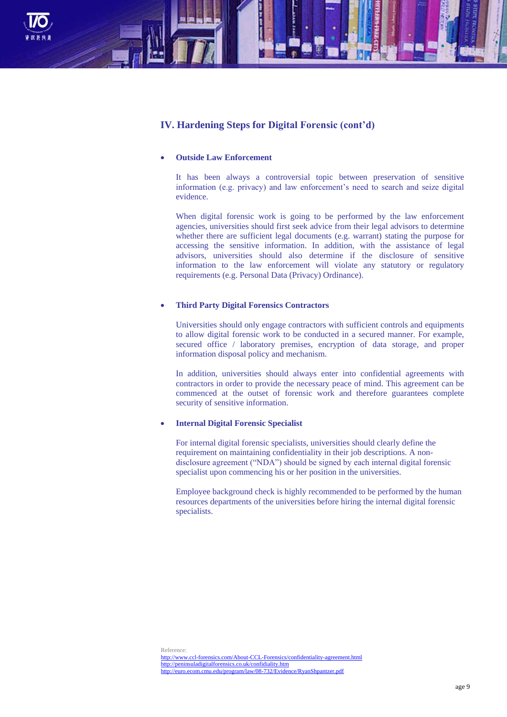

### **IV. Hardening Steps for Digital Forensic (cont'd)**

### **Outside Law Enforcement**

It has been always a controversial topic between preservation of sensitive information (e.g. privacy) and law enforcement's need to search and seize digital evidence.

When digital forensic work is going to be performed by the law enforcement agencies, universities should first seek advice from their legal advisors to determine whether there are sufficient legal documents (e.g. warrant) stating the purpose for accessing the sensitive information. In addition, with the assistance of legal advisors, universities should also determine if the disclosure of sensitive information to the law enforcement will violate any statutory or regulatory requirements (e.g. Personal Data (Privacy) Ordinance).

### **Third Party Digital Forensics Contractors**

Universities should only engage contractors with sufficient controls and equipments to allow digital forensic work to be conducted in a secured manner. For example, secured office / laboratory premises, encryption of data storage, and proper information disposal policy and mechanism.

In addition, universities should always enter into confidential agreements with contractors in order to provide the necessary peace of mind. This agreement can be commenced at the outset of forensic work and therefore guarantees complete security of sensitive information.

### **Internal Digital Forensic Specialist**

For internal digital forensic specialists, universities should clearly define the requirement on maintaining confidentiality in their job descriptions. A nondisclosure agreement ("NDA") should be signed by each internal digital forensic specialist upon commencing his or her position in the universities.

Employee background check is highly recommended to be performed by the human resources departments of the universities before hiring the internal digital forensic specialists.